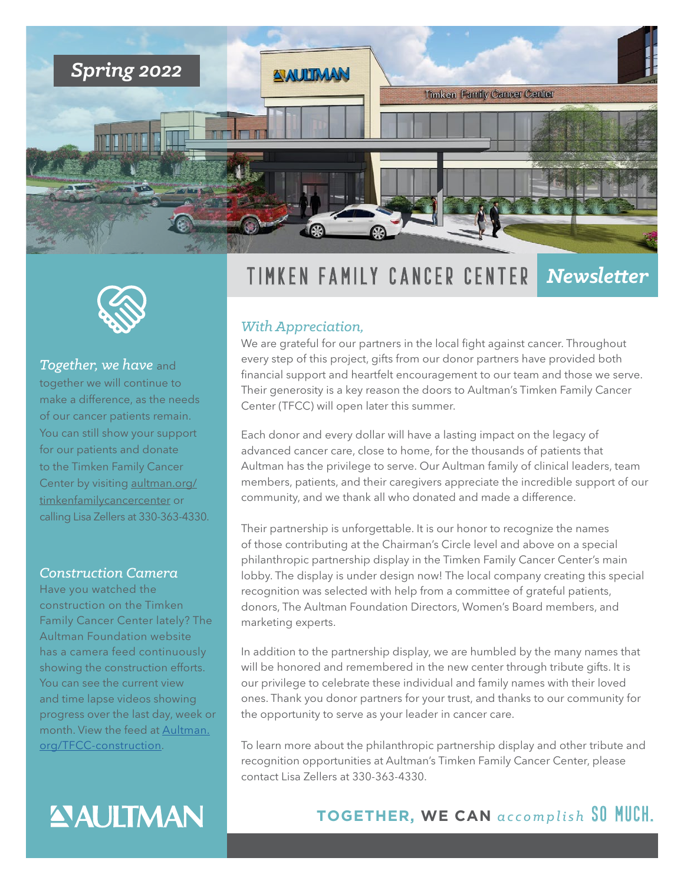



*Together, we have* and together we will continue to make a difference, as the needs of our cancer patients remain. You can still show your support for our patients and donate to the Timken Family Cancer Center by visiting [aultman.org/](http://aultman.org/timkenfamilycancercenter) [timkenfamilycancercenter](http://aultman.org/timkenfamilycancercenter) or calling Lisa Zellers at 330-363-4330.

#### *Construction Camera*

Have you watched the construction on the Timken Family Cancer Center lately? The Aultman Foundation website has a camera feed continuously showing the construction efforts. You can see the current view and time lapse videos showing progress over the last day, week or month. View the feed at [Aultman.](http://Aultman.org/TFCC-construction) [org/TFCC-construction](http://Aultman.org/TFCC-construction).

# **ANULTMAN**

## Timken Family Cancer Center *Newsletter*

#### *With Appreciation,*

We are grateful for our partners in the local fight against cancer. Throughout every step of this project, gifts from our donor partners have provided both financial support and heartfelt encouragement to our team and those we serve. Their generosity is a key reason the doors to Aultman's Timken Family Cancer Center (TFCC) will open later this summer.

Each donor and every dollar will have a lasting impact on the legacy of advanced cancer care, close to home, for the thousands of patients that Aultman has the privilege to serve. Our Aultman family of clinical leaders, team members, patients, and their caregivers appreciate the incredible support of our community, and we thank all who donated and made a difference.

Their partnership is unforgettable. It is our honor to recognize the names of those contributing at the Chairman's Circle level and above on a special philanthropic partnership display in the Timken Family Cancer Center's main lobby. The display is under design now! The local company creating this special recognition was selected with help from a committee of grateful patients, donors, The Aultman Foundation Directors, Women's Board members, and marketing experts.

In addition to the partnership display, we are humbled by the many names that will be honored and remembered in the new center through tribute gifts. It is our privilege to celebrate these individual and family names with their loved ones. Thank you donor partners for your trust, and thanks to our community for the opportunity to serve as your leader in cancer care.

To learn more about the philanthropic partnership display and other tribute and recognition opportunities at Aultman's Timken Family Cancer Center, please contact Lisa Zellers at 330-363-4330.

## **TOGETHER, WE CAN** *accomplish* So much.